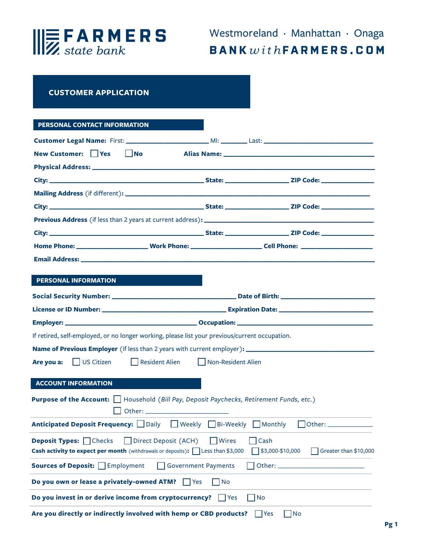

## **CUSTOMER APPLICATION**

## **PERSONAL CONTACT INFORMATION**

| New Customer: Yes<br>$\Box$ No                                                                                                                                                           |  |                                                  |  |  |
|------------------------------------------------------------------------------------------------------------------------------------------------------------------------------------------|--|--------------------------------------------------|--|--|
|                                                                                                                                                                                          |  |                                                  |  |  |
|                                                                                                                                                                                          |  |                                                  |  |  |
|                                                                                                                                                                                          |  |                                                  |  |  |
|                                                                                                                                                                                          |  |                                                  |  |  |
|                                                                                                                                                                                          |  |                                                  |  |  |
|                                                                                                                                                                                          |  |                                                  |  |  |
|                                                                                                                                                                                          |  |                                                  |  |  |
|                                                                                                                                                                                          |  |                                                  |  |  |
|                                                                                                                                                                                          |  |                                                  |  |  |
| <b>PERSONAL INFORMATION</b>                                                                                                                                                              |  |                                                  |  |  |
|                                                                                                                                                                                          |  |                                                  |  |  |
|                                                                                                                                                                                          |  |                                                  |  |  |
|                                                                                                                                                                                          |  |                                                  |  |  |
| If retired, self-employed, or no longer working, please list your previous/current occupation.                                                                                           |  |                                                  |  |  |
|                                                                                                                                                                                          |  |                                                  |  |  |
| Are you a: US Citizen<br>Resident Alien<br>Non-Resident Alien                                                                                                                            |  |                                                  |  |  |
|                                                                                                                                                                                          |  |                                                  |  |  |
| <b>ACCOUNT INFORMATION</b><br><b>Purpose of the Account:</b>   Household (Bill Pay, Deposit Paychecks, Retirement Funds, etc.)                                                           |  |                                                  |  |  |
| <b>Anticipated Deposit Frequency:</b> $\Box$ Daily $\Box$ Weekly $\Box$ Bi-Weekly $\Box$ Monthly                                                                                         |  | $\Box$ Other: $\_\_\_\_\_\_\_\_\_\_\_\_\_$       |  |  |
| <b>Deposit Types:</b> $\Box$ Checks $\Box$ Direct Deposit (ACH) $\Box$ Wires $\Box$ Cash<br><b>Cash activity to expect per month</b> (withdrawals or deposits): $\Box$ Less than \$3,000 |  | $\Box$ \$3,000-\$10,000<br>Greater than \$10,000 |  |  |
| <b>Sources of Deposit:</b> Femployment<br>Government Payments                                                                                                                            |  | Other: $\_\_$                                    |  |  |
| Do you own or lease a privately-owned ATM?<br>$ $   Yes<br>No                                                                                                                            |  |                                                  |  |  |
| Do you invest in or derive income from cryptocurrency?<br>No<br>$\Box$ Yes                                                                                                               |  |                                                  |  |  |
| Are you directly or indirectly involved with hemp or CBD products?<br>No<br><b>P</b> Yes                                                                                                 |  |                                                  |  |  |